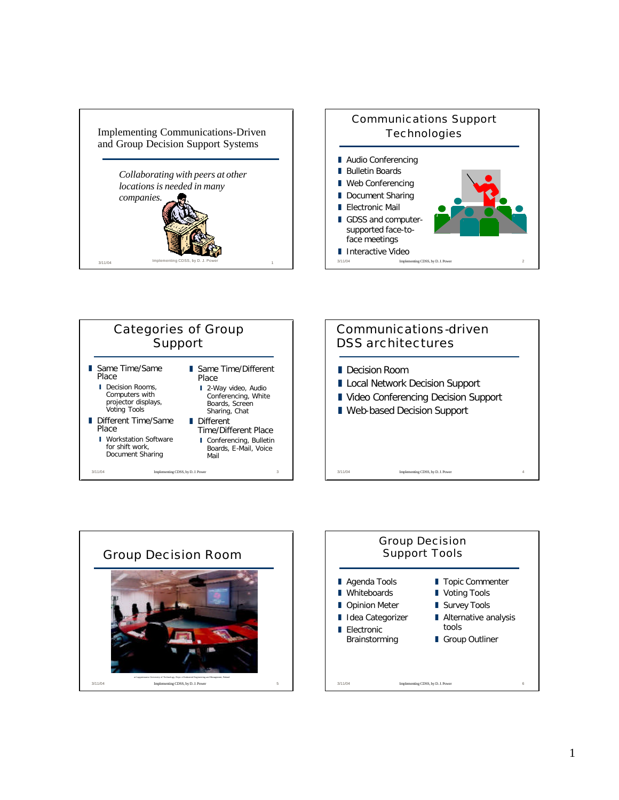









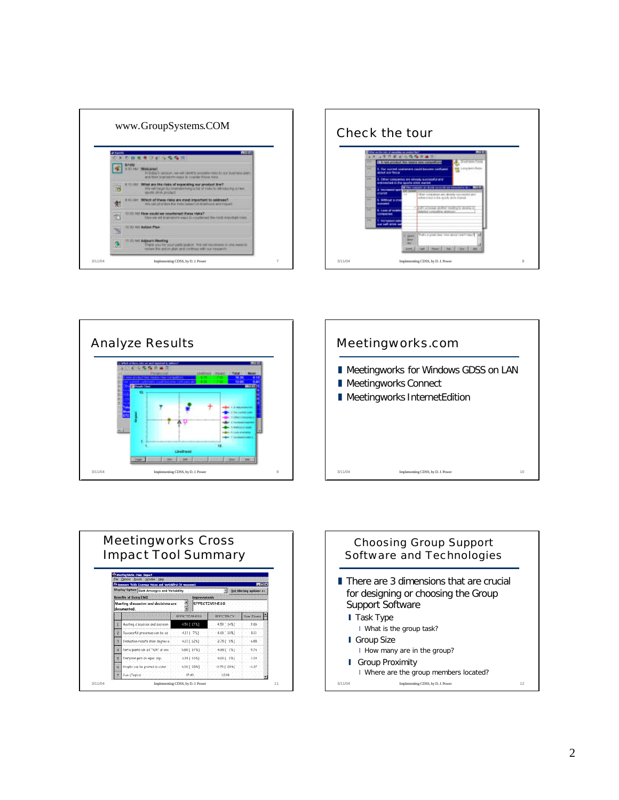









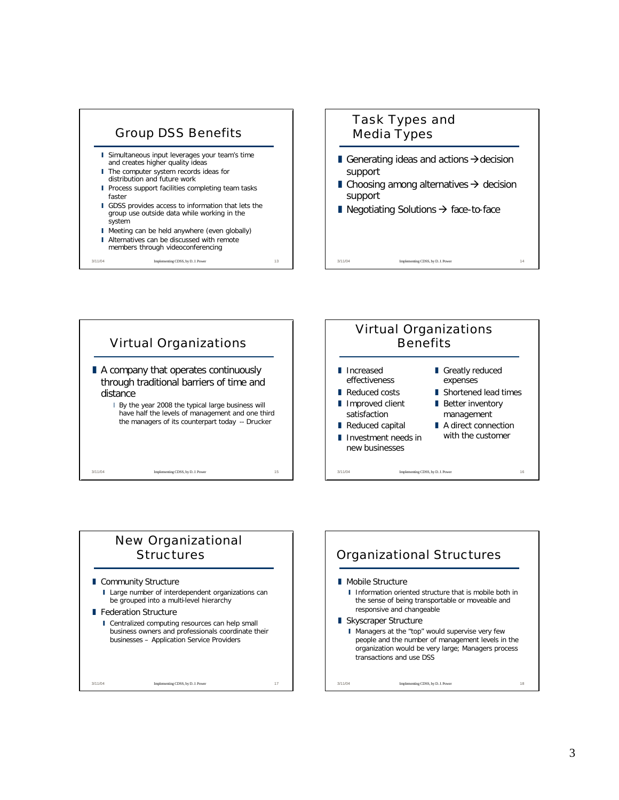







## New Organizational **Structures**

- **Community Structure** 
	- I Large number of interdependent organizations can be grouped into a multi-level hierarchy

## **Federation Structure**

I Centralized computing resources can help small business owners and professionals coordinate their businesses – Application Service Providers

3/11/04 Implementing CDSS, by D. J. Power 17